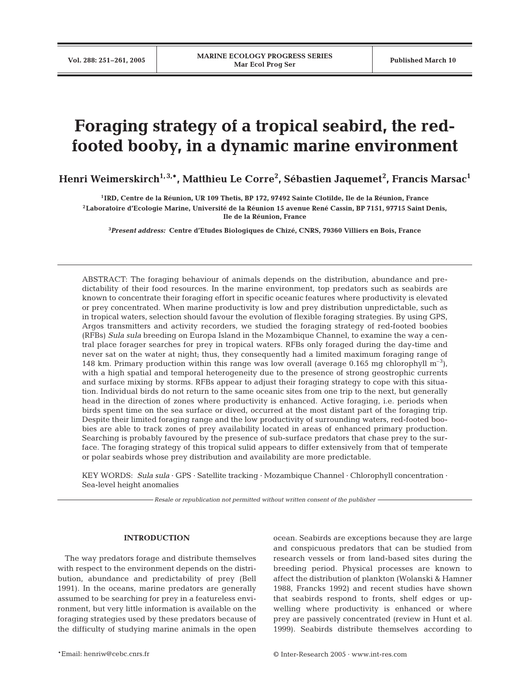# **Foraging strategy of a tropical seabird, the redfooted booby, in a dynamic marine environment**

**Henri Weimerskirch1, 3,\*, Matthieu Le Corre2 , Sébastien Jaquemet<sup>2</sup> , Francis Marsac1**

**1IRD, Centre de la Réunion, UR 109 Thetis, BP 172, 97492 Sainte Clotilde, Ile de la Réunion, France 2Laboratoire d'Ecologie Marine, Université de la Réunion 15 avenue René Cassin, BP 7151, 97715 Saint Denis, Ile de la Réunion, France**

**3** *Present address:* **Centre d'Etudes Biologiques de Chizé, CNRS, 79360 Villiers en Bois, France**

ABSTRACT: The foraging behaviour of animals depends on the distribution, abundance and predictability of their food resources. In the marine environment, top predators such as seabirds are known to concentrate their foraging effort in specific oceanic features where productivity is elevated or prey concentrated. When marine productivity is low and prey distribution unpredictable, such as in tropical waters, selection should favour the evolution of flexible foraging strategies. By using GPS, Argos transmitters and activity recorders, we studied the foraging strategy of red-footed boobies (RFBs) *Sula sula* breeding on Europa Island in the Mozambique Channel, to examine the way a central place forager searches for prey in tropical waters. RFBs only foraged during the day-time and never sat on the water at night; thus, they consequently had a limited maximum foraging range of 148 km. Primary production within this range was low overall (average 0.165 mg chlorophyll  $m^{-3}$ ), with a high spatial and temporal heterogeneity due to the presence of strong geostrophic currents and surface mixing by storms. RFBs appear to adjust their foraging strategy to cope with this situation. Individual birds do not return to the same oceanic sites from one trip to the next, but generally head in the direction of zones where productivity is enhanced. Active foraging, i.e. periods when birds spent time on the sea surface or dived, occurred at the most distant part of the foraging trip. Despite their limited foraging range and the low productivity of surrounding waters, red-footed boobies are able to track zones of prey availability located in areas of enhanced primary production. Searching is probably favoured by the presence of sub-surface predators that chase prey to the surface. The foraging strategy of this tropical sulid appears to differ extensively from that of temperate or polar seabirds whose prey distribution and availability are more predictable.

KEY WORDS: *Sula sula* · GPS · Satellite tracking · Mozambique Channel · Chlorophyll concentration · Sea-level height anomalies

*Resale or republication not permitted without written consent of the publisher*

## **INTRODUCTION**

The way predators forage and distribute themselves with respect to the environment depends on the distribution, abundance and predictability of prey (Bell 1991). In the oceans, marine predators are generally assumed to be searching for prey in a featureless environment, but very little information is available on the foraging strategies used by these predators because of the difficulty of studying marine animals in the open ocean. Seabirds are exceptions because they are large and conspicuous predators that can be studied from research vessels or from land-based sites during the breeding period. Physical processes are known to affect the distribution of plankton (Wolanski & Hamner 1988, Francks 1992) and recent studies have shown that seabirds respond to fronts, shelf edges or upwelling where productivity is enhanced or where prey are passively concentrated (review in Hunt et al. 1999). Seabirds distribute themselves according to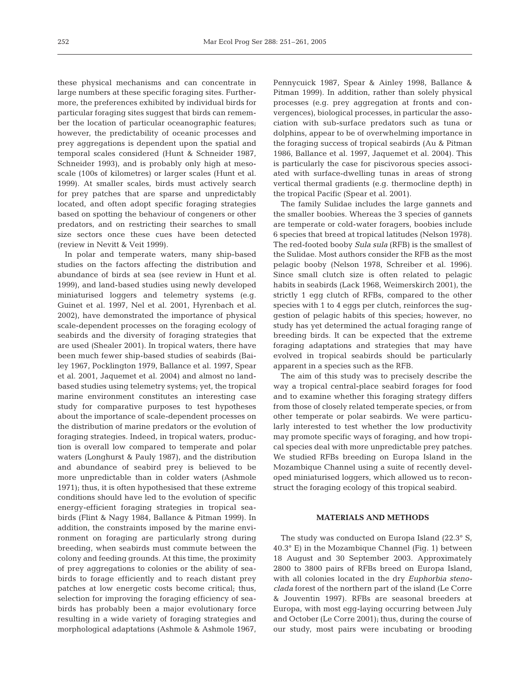these physical mechanisms and can concentrate in large numbers at these specific foraging sites. Furthermore, the preferences exhibited by individual birds for particular foraging sites suggest that birds can remember the location of particular oceanographic features; however, the predictability of oceanic processes and prey aggregations is dependent upon the spatial and temporal scales considered (Hunt & Schneider 1987, Schneider 1993), and is probably only high at mesoscale (100s of kilometres) or larger scales (Hunt et al. 1999). At smaller scales, birds must actively search for prey patches that are sparse and unpredictably located, and often adopt specific foraging strategies based on spotting the behaviour of congeners or other predators, and on restricting their searches to small size sectors once these cues have been detected (review in Nevitt & Veit 1999).

In polar and temperate waters, many ship-based studies on the factors affecting the distribution and abundance of birds at sea (see review in Hunt et al. 1999), and land-based studies using newly developed miniaturised loggers and telemetry systems (e.g. Guinet et al. 1997, Nel et al. 2001, Hyrenbach et al. 2002), have demonstrated the importance of physical scale-dependent processes on the foraging ecology of seabirds and the diversity of foraging strategies that are used (Shealer 2001). In tropical waters, there have been much fewer ship-based studies of seabirds (Bailey 1967, Pocklington 1979, Ballance et al. 1997, Spear et al. 2001, Jaquemet et al. 2004) and almost no landbased studies using telemetry systems; yet, the tropical marine environment constitutes an interesting case study for comparative purposes to test hypotheses about the importance of scale-dependent processes on the distribution of marine predators or the evolution of foraging strategies. Indeed, in tropical waters, production is overall low compared to temperate and polar waters (Longhurst & Pauly 1987), and the distribution and abundance of seabird prey is believed to be more unpredictable than in colder waters (Ashmole 1971); thus, it is often hypothesised that these extreme conditions should have led to the evolution of specific energy-efficient foraging strategies in tropical seabirds (Flint & Nagy 1984, Ballance & Pitman 1999). In addition, the constraints imposed by the marine environment on foraging are particularly strong during breeding, when seabirds must commute between the colony and feeding grounds. At this time, the proximity of prey aggregations to colonies or the ability of seabirds to forage efficiently and to reach distant prey patches at low energetic costs become critical; thus, selection for improving the foraging efficiency of seabirds has probably been a major evolutionary force resulting in a wide variety of foraging strategies and morphological adaptations (Ashmole & Ashmole 1967, Pennycuick 1987, Spear & Ainley 1998, Ballance & Pitman 1999). In addition, rather than solely physical processes (e.g. prey aggregation at fronts and convergences), biological processes, in particular the association with sub-surface predators such as tuna or dolphins, appear to be of overwhelming importance in the foraging success of tropical seabirds (Au & Pitman 1986, Ballance et al. 1997, Jaquemet et al. 2004). This is particularly the case for piscivorous species associated with surface-dwelling tunas in areas of strong vertical thermal gradients (e.g. thermocline depth) in the tropical Pacific (Spear et al. 2001).

The family Sulidae includes the large gannets and the smaller boobies. Whereas the 3 species of gannets are temperate or cold-water foragers, boobies include 6 species that breed at tropical latitudes (Nelson 1978). The red-footed booby *Sula sula* (RFB) is the smallest of the Sulidae. Most authors consider the RFB as the most pelagic booby (Nelson 1978, Schreiber et al. 1996). Since small clutch size is often related to pelagic habits in seabirds (Lack 1968, Weimerskirch 2001), the strictly 1 egg clutch of RFBs, compared to the other species with 1 to 4 eggs per clutch, reinforces the suggestion of pelagic habits of this species; however, no study has yet determined the actual foraging range of breeding birds. It can be expected that the extreme foraging adaptations and strategies that may have evolved in tropical seabirds should be particularly apparent in a species such as the RFB.

The aim of this study was to precisely describe the way a tropical central-place seabird forages for food and to examine whether this foraging strategy differs from those of closely related temperate species, or from other temperate or polar seabirds. We were particularly interested to test whether the low productivity may promote specific ways of foraging, and how tropical species deal with more unpredictable prey patches. We studied RFBs breeding on Europa Island in the Mozambique Channel using a suite of recently developed miniaturised loggers, which allowed us to reconstruct the foraging ecology of this tropical seabird.

# **MATERIALS AND METHODS**

The study was conducted on Europa Island (22.3° S, 40.3° E) in the Mozambique Channel (Fig. 1) between 18 August and 30 September 2003. Approximately 2800 to 3800 pairs of RFBs breed on Europa Island, with all colonies located in the dry *Euphorbia stenoclada* forest of the northern part of the island (Le Corre & Jouventin 1997). RFBs are seasonal breeders at Europa, with most egg-laying occurring between July and October (Le Corre 2001); thus, during the course of our study, most pairs were incubating or brooding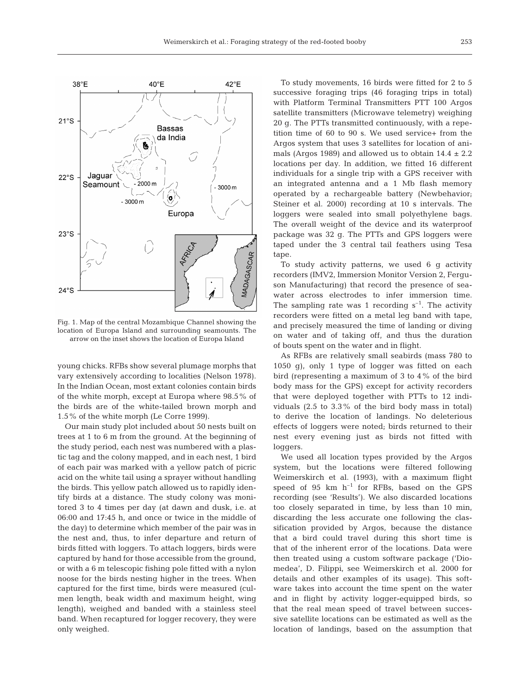

Fig. 1. Map of the central Mozambique Channel showing the location of Europa Island and surrounding seamounts. The arrow on the inset shows the location of Europa Island

young chicks. RFBs show several plumage morphs that vary extensively according to localities (Nelson 1978). In the Indian Ocean, most extant colonies contain birds of the white morph, except at Europa where 98.5% of the birds are of the white-tailed brown morph and 1.5% of the white morph (Le Corre 1999).

Our main study plot included about 50 nests built on trees at 1 to 6 m from the ground. At the beginning of the study period, each nest was numbered with a plastic tag and the colony mapped, and in each nest, 1 bird of each pair was marked with a yellow patch of picric acid on the white tail using a sprayer without handling the birds. This yellow patch allowed us to rapidly identify birds at a distance. The study colony was monitored 3 to 4 times per day (at dawn and dusk, i.e. at 06:00 and 17:45 h, and once or twice in the middle of the day) to determine which member of the pair was in the nest and, thus, to infer departure and return of birds fitted with loggers. To attach loggers, birds were captured by hand for those accessible from the ground, or with a 6 m telescopic fishing pole fitted with a nylon noose for the birds nesting higher in the trees. When captured for the first time, birds were measured (culmen length, beak width and maximum height, wing length), weighed and banded with a stainless steel band. When recaptured for logger recovery, they were only weighed.

To study movements, 16 birds were fitted for 2 to 5 successive foraging trips (46 foraging trips in total) with Platform Terminal Transmitters PTT 100 Argos satellite transmitters (Microwave telemetry) weighing 20 g. The PTTs transmitted continuously, with a repetition time of 60 to 90 s. We used service+ from the Argos system that uses 3 satellites for location of animals (Argos 1989) and allowed us to obtain  $14.4 \pm 2.2$ locations per day. In addition, we fitted 16 different individuals for a single trip with a GPS receiver with an integrated antenna and a 1 Mb flash memory operated by a rechargeable battery (Newbehavior; Steiner et al. 2000) recording at 10 s intervals. The loggers were sealed into small polyethylene bags. The overall weight of the device and its waterproof package was 32 g. The PTTs and GPS loggers were taped under the 3 central tail feathers using Tesa tape.

To study activity patterns, we used 6 g activity recorders (IMV2, Immersion Monitor Version 2, Ferguson Manufacturing) that record the presence of seawater across electrodes to infer immersion time. The sampling rate was 1 recording  $s^{-1}$ . The activity recorders were fitted on a metal leg band with tape, and precisely measured the time of landing or diving on water and of taking off, and thus the duration of bouts spent on the water and in flight.

As RFBs are relatively small seabirds (mass 780 to 1050 g), only 1 type of logger was fitted on each bird (representing a maximum of 3 to 4% of the bird body mass for the GPS) except for activity recorders that were deployed together with PTTs to 12 individuals (2.5 to 3.3% of the bird body mass in total) to derive the location of landings. No deleterious effects of loggers were noted; birds returned to their nest every evening just as birds not fitted with loggers.

We used all location types provided by the Argos system, but the locations were filtered following Weimerskirch et al. (1993), with a maximum flight speed of 95  $km$   $h^{-1}$  for RFBs, based on the GPS recording (see 'Results'). We also discarded locations too closely separated in time, by less than 10 min, discarding the less accurate one following the classification provided by Argos, because the distance that a bird could travel during this short time is that of the inherent error of the locations. Data were then treated using a custom software package ('Diomedea', D. Filippi, see Weimerskirch et al. 2000 for details and other examples of its usage). This software takes into account the time spent on the water and in flight by activity logger-equipped birds, so that the real mean speed of travel between successive satellite locations can be estimated as well as the location of landings, based on the assumption that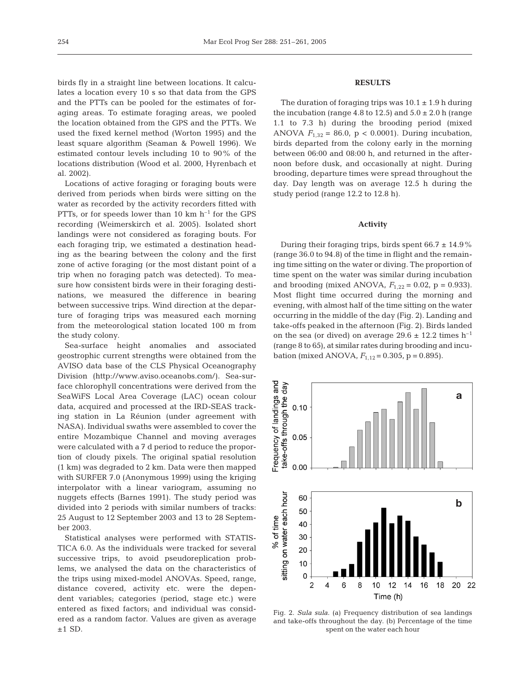birds fly in a straight line between locations. It calculates a location every 10 s so that data from the GPS and the PTTs can be pooled for the estimates of foraging areas. To estimate foraging areas, we pooled the location obtained from the GPS and the PTTs. We used the fixed kernel method (Worton 1995) and the least square algorithm (Seaman & Powell 1996). We estimated contour levels including 10 to 90% of the locations distribution (Wood et al. 2000, Hyrenbach et al. 2002).

Locations of active foraging or foraging bouts were derived from periods when birds were sitting on the water as recorded by the activity recorders fitted with PTTs, or for speeds lower than 10 km  $h^{-1}$  for the GPS recording (Weimerskirch et al. 2005). Isolated short landings were not considered as foraging bouts. For each foraging trip, we estimated a destination heading as the bearing between the colony and the first zone of active foraging (or the most distant point of a trip when no foraging patch was detected). To measure how consistent birds were in their foraging destinations, we measured the difference in bearing between successive trips. Wind direction at the departure of foraging trips was measured each morning from the meteorological station located 100 m from the study colony.

Sea-surface height anomalies and associated geostrophic current strengths were obtained from the AVISO data base of the CLS Physical Oceanography Division (http://www.aviso.oceanobs.com/). Sea-surface chlorophyll concentrations were derived from the SeaWiFS Local Area Coverage (LAC) ocean colour data, acquired and processed at the IRD-SEAS tracking station in La Réunion (under agreement with NASA). Individual swaths were assembled to cover the entire Mozambique Channel and moving averages were calculated with a 7 d period to reduce the proportion of cloudy pixels. The original spatial resolution (1 km) was degraded to 2 km. Data were then mapped with SURFER 7.0 (Anonymous 1999) using the kriging interpolator with a linear variogram, assuming no nuggets effects (Barnes 1991). The study period was divided into 2 periods with similar numbers of tracks: 25 August to 12 September 2003 and 13 to 28 September 2003.

Statistical analyses were performed with STATIS-TICA 6.0. As the individuals were tracked for several successive trips, to avoid pseudoreplication problems, we analysed the data on the characteristics of the trips using mixed-model ANOVAs. Speed, range, distance covered, activity etc. were the dependent variables; categories (period, stage etc.) were entered as fixed factors; and individual was considered as a random factor. Values are given as average  $±1$  SD.

## **RESULTS**

The duration of foraging trips was  $10.1 \pm 1.9$  h during the incubation (range 4.8 to 12.5) and  $5.0 \pm 2.0$  h (range 1.1 to 7.3 h) during the brooding period (mixed ANOVA  $F_{1,32} = 86.0$ ,  $p < 0.0001$ ). During incubation, birds departed from the colony early in the morning between 06:00 and 08:00 h, and returned in the afternoon before dusk, and occasionally at night. During brooding, departure times were spread throughout the day. Day length was on average 12.5 h during the study period (range 12.2 to 12.8 h).

## **Activity**

During their foraging trips, birds spent  $66.7 \pm 14.9\%$ (range 36.0 to 94.8) of the time in flight and the remaining time sitting on the water or diving. The proportion of time spent on the water was similar during incubation and brooding (mixed ANOVA,  $F_{1,22} = 0.02$ , p = 0.933). Most flight time occurred during the morning and evening, with almost half of the time sitting on the water occurring in the middle of the day (Fig. 2). Landing and take-offs peaked in the afternoon (Fig. 2). Birds landed on the sea (or dived) on average 29.6  $\pm$  12.2 times h<sup>-1</sup> (range 8 to 65), at similar rates during brooding and incubation (mixed ANOVA,  $F_{1,12} = 0.305$ ,  $p = 0.895$ ).



Fig. 2. *Sula sula*. (a) Frequency distribution of sea landings and take-offs throughout the day. (b) Percentage of the time spent on the water each hour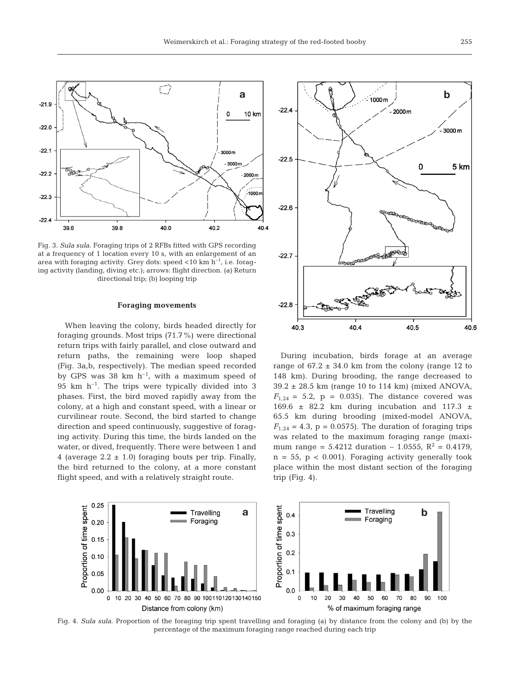

Fig. 3. *Sula sula*. Foraging trips of 2 RFBs fitted with GPS recording at a frequency of 1 location every 10 s, with an enlargement of an area with foraging activity. Grey dots: speed  $<$ 10 km h<sup>-1</sup>, i.e. foraging activity (landing, diving etc.); arrows: flight direction. (a) Return directional trip; (b) looping trip

#### **Foraging movements**

When leaving the colony, birds headed directly for foraging grounds. Most trips (71.7%) were directional return trips with fairly parallel, and close outward and return paths, the remaining were loop shaped (Fig. 3a,b, respectively). The median speed recorded by GPS was 38 km  $h^{-1}$ , with a maximum speed of 95 km  $h^{-1}$ . The trips were typically divided into 3 phases. First, the bird moved rapidly away from the colony, at a high and constant speed, with a linear or curvilinear route. Second, the bird started to change direction and speed continuously, suggestive of foraging activity. During this time, the birds landed on the water, or dived, frequently. There were between 1 and 4 (average  $2.2 \pm 1.0$ ) foraging bouts per trip. Finally, the bird returned to the colony, at a more constant flight speed, and with a relatively straight route.



During incubation, birds forage at an average range of  $67.2 \pm 34.0$  km from the colony (range 12 to 148 km). During brooding, the range decreased to 39.2 ± 28.5 km (range 10 to 114 km) (mixed ANOVA,  $F_{1,24} = 5.2$ ,  $p = 0.035$ . The distance covered was 169.6  $\pm$  82.2 km during incubation and 117.3  $\pm$ 65.5 km during brooding (mixed-model ANOVA,  $F_{1,24} = 4.3$ ,  $p = 0.0575$ ). The duration of foraging trips was related to the maximum foraging range (maximum range =  $5.4212$  duration – 1.0555,  $R^2$  = 0.4179,  $n = 55$ ,  $p < 0.001$ ). Foraging activity generally took place within the most distant section of the foraging trip (Fig. 4).



Fig. 4. *Sula sula*. Proportion of the foraging trip spent travelling and foraging (a) by distance from the colony and (b) by the percentage of the maximum foraging range reached during each trip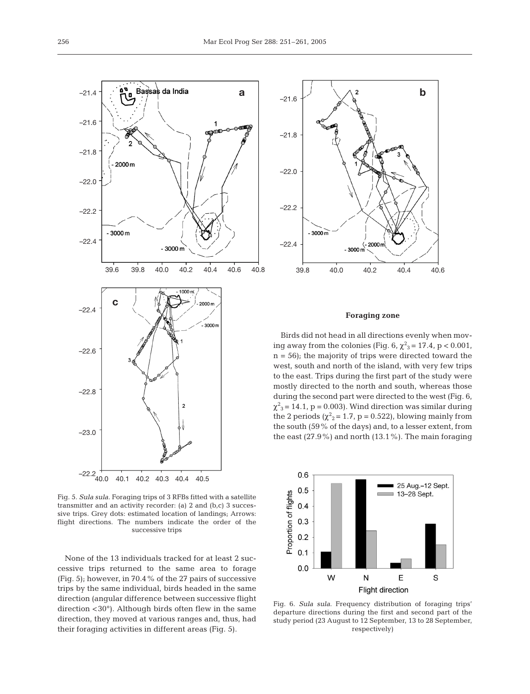

Fig. 5. *Sula sula*. Foraging trips of 3 RFBs fitted with a satellite transmitter and an activity recorder: (a) 2 and (b,c) 3 successive trips. Grey dots: estimated location of landings; Arrows: flight directions. The numbers indicate the order of the successive trips

None of the 13 individuals tracked for at least 2 successive trips returned to the same area to forage (Fig. 5); however, in 70.4% of the 27 pairs of successive trips by the same individual, birds headed in the same direction (angular difference between successive flight direction <30°). Although birds often flew in the same direction, they moved at various ranges and, thus, had their foraging activities in different areas (Fig. 5).



## **Foraging zone**

Birds did not head in all directions evenly when moving away from the colonies (Fig. 6,  $\chi^2_{3}$  = 17.4, p < 0.001,  $n = 56$ ; the majority of trips were directed toward the west, south and north of the island, with very few trips to the east. Trips during the first part of the study were mostly directed to the north and south, whereas those during the second part were directed to the west (Fig. 6,  $\chi^2$ <sub>3</sub> = 14.1, p = 0.003). Wind direction was similar during the 2 periods ( $\chi^2$ <sub>2</sub> = 1.7, p = 0.522), blowing mainly from the south (59% of the days) and, to a lesser extent, from the east (27.9%) and north (13.1%). The main foraging



Fig. 6. *Sula sula*. Frequency distribution of foraging trips' departure directions during the first and second part of the study period (23 August to 12 September, 13 to 28 September, respectively)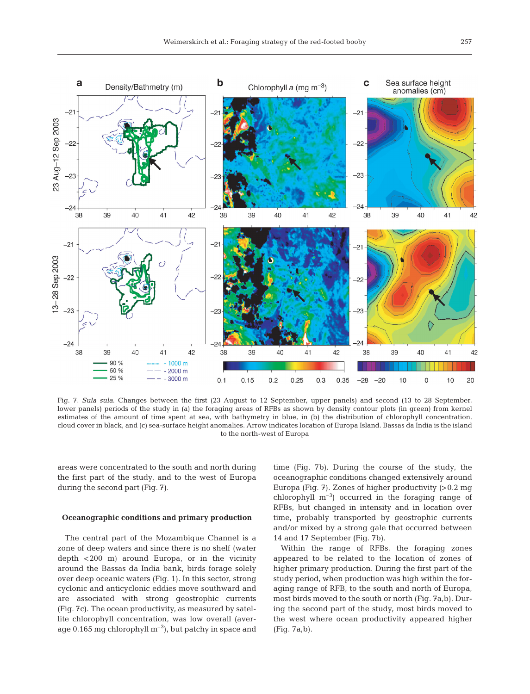

Fig. 7. *Sula sula*. Changes between the first (23 August to 12 September, upper panels) and second (13 to 28 September, lower panels) periods of the study in (a) the foraging areas of RFBs as shown by density contour plots (in green) from kernel estimates of the amount of time spent at sea, with bathymetry in blue, in (b) the distribution of chlorophyll concentration, cloud cover in black, and (c) sea-surface height anomalies. Arrow indicates location of Europa Island. Bassas da India is the island to the north-west of Europa

areas were concentrated to the south and north during the first part of the study, and to the west of Europa during the second part (Fig. 7).

## **Oceanographic conditions and primary production**

The central part of the Mozambique Channel is a zone of deep waters and since there is no shelf (water depth <200 m) around Europa, or in the vicinity around the Bassas da India bank, birds forage solely over deep oceanic waters (Fig. 1). In this sector, strong cyclonic and anticyclonic eddies move southward and are associated with strong geostrophic currents (Fig. 7c). The ocean productivity, as measured by satellite chlorophyll concentration, was low overall (average 0.165 mg chlorophyll  $m^{-3}$ ), but patchy in space and

time (Fig. 7b). During the course of the study, the oceanographic conditions changed extensively around Europa (Fig. 7). Zones of higher productivity (>0.2 mg chlorophyll  $m^{-3}$ ) occurred in the foraging range of RFBs, but changed in intensity and in location over time, probably transported by geostrophic currents and/or mixed by a strong gale that occurred between 14 and 17 September (Fig. 7b).

Within the range of RFBs, the foraging zones appeared to be related to the location of zones of higher primary production. During the first part of the study period, when production was high within the foraging range of RFB, to the south and north of Europa, most birds moved to the south or north (Fig. 7a,b). During the second part of the study, most birds moved to the west where ocean productivity appeared higher (Fig. 7a,b).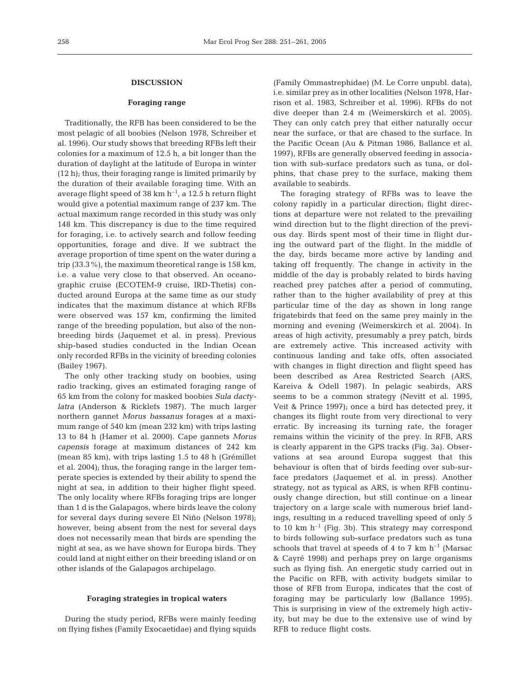## **DISCUSSION**

## **Foraging range**

Traditionally, the RFB has been considered to be the most pelagic of all boobies (Nelson 1978, Schreiber et al. 1996). Our study shows that breeding RFBs left their colonies for a maximum of 12.5 h, a bit longer than the duration of daylight at the latitude of Europa in winter (12 h); thus, their foraging range is limited primarily by the duration of their available foraging time. With an average flight speed of 38 km  $h^{-1}$ , a 12.5 h return flight would give a potential maximum range of 237 km. The actual maximum range recorded in this study was only 148 km. This discrepancy is due to the time required for foraging, i.e. to actively search and follow feeding opportunities, forage and dive. If we subtract the average proportion of time spent on the water during a trip (33.3%), the maximum theoretical range is 158 km, i.e. a value very close to that observed. An oceanographic cruise (ECOTEM-9 cruise, IRD-Thetis) conducted around Europa at the same time as our study indicates that the maximum distance at which RFBs were observed was 157 km, confirming the limited range of the breeding population, but also of the nonbreeding birds (Jaquemet et al. in press). Previous ship-based studies conducted in the Indian Ocean only recorded RFBs in the vicinity of breeding colonies (Bailey 1967).

The only other tracking study on boobies, using radio tracking, gives an estimated foraging range of 65 km from the colony for masked boobies *Sula dactylatra* (Anderson & Ricklefs 1987). The much larger northern gannet *Morus bassanus* forages at a maximum range of 540 km (mean 232 km) with trips lasting 13 to 84 h (Hamer et al. 2000). Cape gannets *Morus capensis* forage at maximum distances of 242 km (mean 85 km), with trips lasting 1.5 to 48 h (Grémillet et al. 2004); thus, the foraging range in the larger temperate species is extended by their ability to spend the night at sea, in addition to their higher flight speed. The only locality where RFBs foraging trips are longer than 1 d is the Galapagos, where birds leave the colony for several days during severe El Niño (Nelson 1978); however, being absent from the nest for several days does not necessarily mean that birds are spending the night at sea, as we have shown for Europa birds. They could land at night either on their breeding island or on other islands of the Galapagos archipelago.

#### **Foraging strategies in tropical waters**

During the study period, RFBs were mainly feeding on flying fishes (Family Exocaetidae) and flying squids

(Family Ommastrephidae) (M. Le Corre unpubl. data), i.e. similar prey as in other localities (Nelson 1978, Harrison et al. 1983, Schreiber et al. 1996). RFBs do not dive deeper than 2.4 m (Weimerskirch et al. 2005). They can only catch prey that either naturally occur near the surface, or that are chased to the surface. In the Pacific Ocean (Au & Pitman 1986, Ballance et al. 1997), RFBs are generally observed feeding in association with sub-surface predators such as tuna, or dolphins, that chase prey to the surface, making them available to seabirds.

The foraging strategy of RFBs was to leave the colony rapidly in a particular direction; flight directions at departure were not related to the prevailing wind direction but to the flight direction of the previous day. Birds spent most of their time in flight during the outward part of the flight. In the middle of the day, birds became more active by landing and taking off frequently. The change in activity in the middle of the day is probably related to birds having reached prey patches after a period of commuting, rather than to the higher availability of prey at this particular time of the day as shown in long range frigatebirds that feed on the same prey mainly in the morning and evening (Weimerskirch et al. 2004). In areas of high activity, presumably a prey patch, birds are extremely active. This increased activity with continuous landing and take offs, often associated with changes in flight direction and flight speed has been described as Area Restricted Search (ARS, Kareiva & Odell 1987). In pelagic seabirds, ARS seems to be a common strategy (Nevitt et al. 1995, Veit & Prince 1997); once a bird has detected prey, it changes its flight route from very directional to very erratic. By increasing its turning rate, the forager remains within the vicinity of the prey. In RFB, ARS is clearly apparent in the GPS tracks (Fig. 3a). Observations at sea around Europa suggest that this behaviour is often that of birds feeding over sub-surface predators (Jaquemet et al. in press). Another strategy, not as typical as ARS, is when RFB continuously change direction, but still continue on a linear trajectory on a large scale with numerous brief landings, resulting in a reduced travelling speed of only 5 to 10 km  $h^{-1}$  (Fig. 3b). This strategy may correspond to birds following sub-surface predators such as tuna schools that travel at speeds of 4 to 7 km  $h^{-1}$  (Marsac & Cayré 1998) and perhaps prey on large organisms such as flying fish. An energetic study carried out in the Pacific on RFB, with activity budgets similar to those of RFB from Europa, indicates that the cost of foraging may be particularly low (Ballance 1995). This is surprising in view of the extremely high activity, but may be due to the extensive use of wind by RFB to reduce flight costs.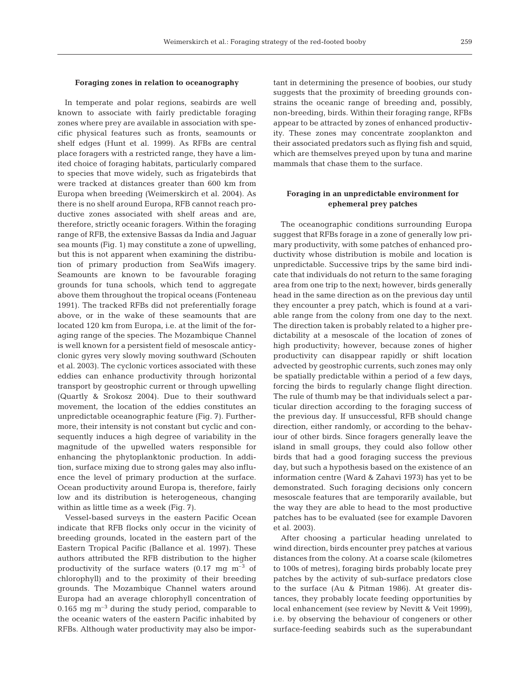## **Foraging zones in relation to oceanography**

In temperate and polar regions, seabirds are well known to associate with fairly predictable foraging zones where prey are available in association with specific physical features such as fronts, seamounts or shelf edges (Hunt et al. 1999). As RFBs are central place foragers with a restricted range, they have a limited choice of foraging habitats, particularly compared to species that move widely, such as frigatebirds that were tracked at distances greater than 600 km from Europa when breeding (Weimerskirch et al. 2004). As there is no shelf around Europa, RFB cannot reach productive zones associated with shelf areas and are, therefore, strictly oceanic foragers. Within the foraging range of RFB, the extensive Bassas da India and Jaguar sea mounts (Fig. 1) may constitute a zone of upwelling, but this is not apparent when examining the distribution of primary production from SeaWifs imagery. Seamounts are known to be favourable foraging grounds for tuna schools, which tend to aggregate above them throughout the tropical oceans (Fonteneau 1991). The tracked RFBs did not preferentially forage above, or in the wake of these seamounts that are located 120 km from Europa, i.e. at the limit of the foraging range of the species. The Mozambique Channel is well known for a persistent field of mesoscale anticyclonic gyres very slowly moving southward (Schouten et al. 2003). The cyclonic vortices associated with these eddies can enhance productivity through horizontal transport by geostrophic current or through upwelling (Quartly & Srokosz 2004). Due to their southward movement, the location of the eddies constitutes an unpredictable oceanographic feature (Fig. 7). Furthermore, their intensity is not constant but cyclic and consequently induces a high degree of variability in the magnitude of the upwelled waters responsible for enhancing the phytoplanktonic production. In addition, surface mixing due to strong gales may also influence the level of primary production at the surface. Ocean productivity around Europa is, therefore, fairly low and its distribution is heterogeneous, changing within as little time as a week (Fig. 7).

Vessel-based surveys in the eastern Pacific Ocean indicate that RFB flocks only occur in the vicinity of breeding grounds, located in the eastern part of the Eastern Tropical Pacific (Ballance et al. 1997). These authors attributed the RFB distribution to the higher productivity of the surface waters  $(0.17 \text{ mg m}^{-3} \text{ of }$ chlorophyll) and to the proximity of their breeding grounds. The Mozambique Channel waters around Europa had an average chlorophyll concentration of 0.165 mg  $m^{-3}$  during the study period, comparable to the oceanic waters of the eastern Pacific inhabited by RFBs. Although water productivity may also be important in determining the presence of boobies, our study suggests that the proximity of breeding grounds constrains the oceanic range of breeding and, possibly, non-breeding, birds. Within their foraging range, RFBs appear to be attracted by zones of enhanced productivity. These zones may concentrate zooplankton and their associated predators such as flying fish and squid, which are themselves preyed upon by tuna and marine mammals that chase them to the surface.

# **Foraging in an unpredictable environment for ephemeral prey patches**

The oceanographic conditions surrounding Europa suggest that RFBs forage in a zone of generally low primary productivity, with some patches of enhanced productivity whose distribution is mobile and location is unpredictable. Successive trips by the same bird indicate that individuals do not return to the same foraging area from one trip to the next; however, birds generally head in the same direction as on the previous day until they encounter a prey patch, which is found at a variable range from the colony from one day to the next. The direction taken is probably related to a higher predictability at a mesoscale of the location of zones of high productivity; however, because zones of higher productivity can disappear rapidly or shift location advected by geostrophic currents, such zones may only be spatially predictable within a period of a few days, forcing the birds to regularly change flight direction. The rule of thumb may be that individuals select a particular direction according to the foraging success of the previous day. If unsuccessful, RFB should change direction, either randomly, or according to the behaviour of other birds. Since foragers generally leave the island in small groups, they could also follow other birds that had a good foraging success the previous day, but such a hypothesis based on the existence of an information centre (Ward & Zahavi 1973) has yet to be demonstrated. Such foraging decisions only concern mesoscale features that are temporarily available, but the way they are able to head to the most productive patches has to be evaluated (see for example Davoren et al. 2003).

After choosing a particular heading unrelated to wind direction, birds encounter prey patches at various distances from the colony. At a coarse scale (kilometres to 100s of metres), foraging birds probably locate prey patches by the activity of sub-surface predators close to the surface (Au & Pitman 1986). At greater distances, they probably locate feeding opportunities by local enhancement (see review by Nevitt & Veit 1999), i.e. by observing the behaviour of congeners or other surface-feeding seabirds such as the superabundant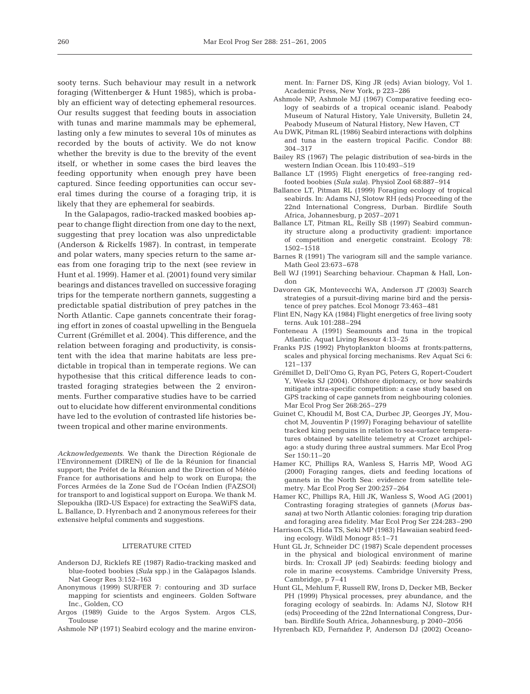sooty terns. Such behaviour may result in a network foraging (Wittenberger & Hunt 1985), which is probably an efficient way of detecting ephemeral resources. Our results suggest that feeding bouts in association with tunas and marine mammals may be ephemeral, lasting only a few minutes to several 10s of minutes as recorded by the bouts of activity. We do not know whether the brevity is due to the brevity of the event itself, or whether in some cases the bird leaves the feeding opportunity when enough prey have been captured. Since feeding opportunities can occur several times during the course of a foraging trip, it is likely that they are ephemeral for seabirds.

In the Galapagos, radio-tracked masked boobies appear to change flight direction from one day to the next, suggesting that prey location was also unpredictable (Anderson & Rickelfs 1987). In contrast, in temperate and polar waters, many species return to the same areas from one foraging trip to the next (see review in Hunt et al. 1999). Hamer et al. (2001) found very similar bearings and distances travelled on successive foraging trips for the temperate northern gannets, suggesting a predictable spatial distribution of prey patches in the North Atlantic. Cape gannets concentrate their foraging effort in zones of coastal upwelling in the Benguela Current (Grémillet et al. 2004). This difference, and the relation between foraging and productivity, is consistent with the idea that marine habitats are less predictable in tropical than in temperate regions. We can hypothesise that this critical difference leads to contrasted foraging strategies between the 2 environments. Further comparative studies have to be carried out to elucidate how different environmental conditions have led to the evolution of contrasted life histories between tropical and other marine environments.

*Acknowledgements*. We thank the Direction Régionale de l'Environnement (DIREN) of Ile de la Réunion for financial support; the Préfet de la Réunion and the Direction of Météo France for authorisations and help to work on Europa; the Forces Armées de la Zone Sud de l'Océan Indien (FAZSOI) for transport to and logistical support on Europa. We thank M. Slepoukha (IRD-US Espace) for extracting the SeaWiFS data, L. Ballance, D. Hyrenbach and 2 anonymous referees for their extensive helpful comments and suggestions.

#### LITERATURE CITED

- Anderson DJ, Ricklefs RE (1987) Radio-tracking masked and blue-footed boobies (*Sula* spp.) in the Galàpagos Islands. Nat Geogr Res 3:152–163
- Anonymous (1999) SURFER 7: contouring and 3D surface mapping for scientists and engineers. Golden Software Inc., Golden, CO
- Argos (1989) Guide to the Argos System. Argos CLS, Toulouse
- Ashmole NP (1971) Seabird ecology and the marine environ-

ment. In: Farner DS, King JR (eds) Avian biology, Vol 1. Academic Press, New York, p 223–286

- Ashmole NP, Ashmole MJ (1967) Comparative feeding ecology of seabirds of a tropical oceanic island. Peabody Museum of Natural History, Yale University, Bulletin 24, Peabody Museum of Natural History, New Haven, CT
- Au DWK, Pitman RL (1986) Seabird interactions with dolphins and tuna in the eastern tropical Pacific. Condor 88: 304–317
- Bailey RS (1967) The pelagic distribution of sea-birds in the western Indian Ocean. Ibis 110:493–519
- Ballance LT (1995) Flight energetics of free-ranging redfooted boobies (*Sula sula*). Physiol Zool 68:887–914
- Ballance LT, Pitman RL (1999) Foraging ecology of tropical seabirds. In: Adams NJ, Slotow RH (eds) Proceeding of the 22nd International Congress, Durban. Birdlife South Africa, Johannesburg, p 2057–2071
- Ballance LT, Pitman RL, Reilly SB (1997) Seabird community structure along a productivity gradient: importance of competition and energetic constraint. Ecology 78: 1502–1518
- Barnes R (1991) The variogram sill and the sample variance. Math Geol 23:673–678
- Bell WJ (1991) Searching behaviour. Chapman & Hall, London
- Davoren GK, Montevecchi WA, Anderson JT (2003) Search strategies of a pursuit-diving marine bird and the persistence of prey patches. Ecol Monogr 73:463–481
- Flint EN, Nagy KA (1984) Flight energetics of free living sooty terns. Auk 101:288–294
- Fonteneau A (1991) Seamounts and tuna in the tropical Atlantic. Aquat Living Resour 4:13–25
- Franks PJS (1992) Phytoplankton blooms at fronts:patterns, scales and physical forcing mechanisms. Rev Aquat Sci 6: 121–137
- Grémillet D, Dell'Omo G, Ryan PG, Peters G, Ropert-Coudert Y, Weeks SJ (2004). Offshore diplomacy, or how seabirds mitigate intra-specific competition: a case study based on GPS tracking of cape gannets from neighbouring colonies. Mar Ecol Prog Ser 268:265–279
- Guinet C, Khoudil M, Bost CA, Durbec JP, Georges JY, Mouchot M, Jouventin P (1997) Foraging behaviour of satellite tracked king penguins in relation to sea-surface temperatures obtained by satellite telemetry at Crozet archipelago: a study during three austral summers. Mar Ecol Prog Ser 150:11–20
- Hamer KC, Phillips RA, Wanless S, Harris MP, Wood AG (2000) Foraging ranges, diets and feeding locations of gannets in the North Sea: evidence from satellite telemetry. Mar Ecol Prog Ser 200:257–264
- Hamer KC, Phillips RA, Hill JK, Wanless S, Wood AG (2001) Contrasting foraging strategies of gannets (*Morus bassana*) at two North Atlantic colonies: foraging trip duration and foraging area fidelity. Mar Ecol Prog Ser 224:283–290
- Harrison CS, Hida TS, Seki MP (1983) Hawaiian seabird feeding ecology. Wildl Monogr 85:1–71
- Hunt GL Jr, Schneider DC (1987) Scale dependent processes in the physical and biological environment of marine birds. In: Croxall JP (ed) Seabirds: feeding biology and role in marine ecosystems. Cambridge University Press, Cambridge, p 7–41
- Hunt GL, Mehlum F, Russell RW, Irons D, Decker MB, Becker PH (1999) Physical processes, prey abundance, and the foraging ecology of seabirds. In: Adams NJ, Slotow RH (eds) Proceeding of the 22nd International Congress, Durban. Birdlife South Africa, Johannesburg, p 2040–2056
- Hyrenbach KD, Fernañdez P, Anderson DJ (2002) Oceano-